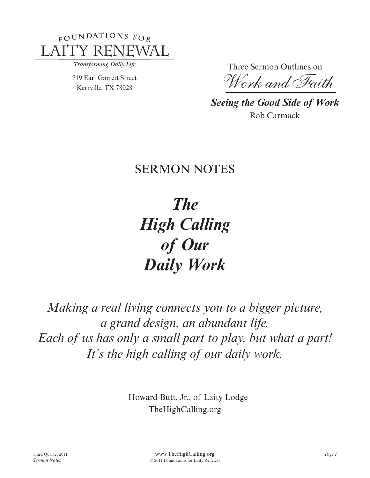

Transforming Daily Life

719 Earl Garrett Street Kerrville, TX 78028

Three Sermon Outlines on

*Work and Faith*

*Seeing the Good Side of Work* Rob Carmack

# **SERMON NOTES**

*The High Calling of Our Daily Work*

*Making a real living connects you to a bigger picture, a grand design, an abundant life. Each of us has only a small part to play, but what a part! It's the high calling of our daily work.*

> – Howard Butt, Jr., of Laity Lodge TheHighCalling.org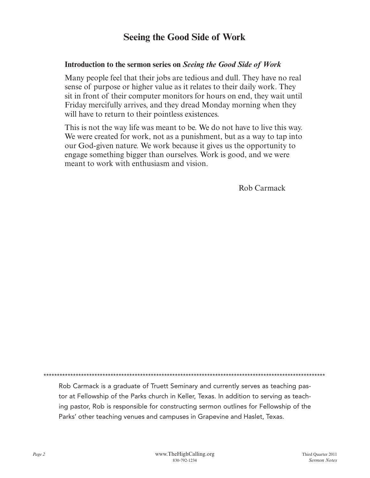### **Seeing the Good Side of Work**

#### **Introduction to the sermon series on** *Seeing the Good Side of Work*

Many people feel that their jobs are tedious and dull. They have no real sense of purpose or higher value as it relates to their daily work. They sit in front of their computer monitors for hours on end, they wait until Friday mercifully arrives, and they dread Monday morning when they will have to return to their pointless existences.

This is not the way life was meant to be. We do not have to live this way. We were created for work, not as a punishment, but as a way to tap into our God-given nature. We work because it gives us the opportunity to engage something bigger than ourselves. Work is good, and we were meant to work with enthusiasm and vision.

Rob Carmack

\*\*\*\*\*\*\*\*\*\*\*\*\*\*\*\*\*\*\*\*\*\*\*\*\*\*\*\*\*\*\*\*\*\*\*\*\*\*\*\*\*\*\*\*\*\*\*\*\*\*\*\*\*\*\*\*\*\*\*\*\*\*\*\*\*\*\*\*\*\*\*\*\*\*\*\*\*\*\*\*\*\*\*\*\*\*\*\*\*\*\*\*\*\*\*\*\*\*\*\*\*\*\*\*\*

Rob Carmack is a graduate of Truett Seminary and currently serves as teaching pastor at Fellowship of the Parks church in Keller, Texas. In addition to serving as teaching pastor, Rob is responsible for constructing sermon outlines for Fellowship of the Parks' other teaching venues and campuses in Grapevine and Haslet, Texas.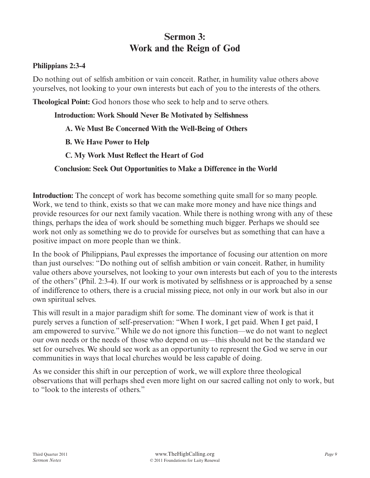## **Sermon 3: Work and the Reign of God**

#### **Philippians 2:3-4**

Do nothing out of selfish ambition or vain conceit. Rather, in humility value others above yourselves, not looking to your own interests but each of you to the interests of the others.

**Theological Point:** God honors those who seek to help and to serve others.

#### **Introduction: Work Should Never Be Motivated by Selfishness**

#### **A. We Must Be Concerned With the Well-Being of Others**

 **B. We Have Power to Help**

 **C. My Work Must Reflect the Heart of God**

#### **Conclusion: Seek Out Opportunities to Make a Difference in the World**

**Introduction:** The concept of work has become something quite small for so many people. Work, we tend to think, exists so that we can make more money and have nice things and provide resources for our next family vacation. While there is nothing wrong with any of these things, perhaps the idea of work should be something much bigger. Perhaps we should see work not only as something we do to provide for ourselves but as something that can have a positive impact on more people than we think.

In the book of Philippians, Paul expresses the importance of focusing our attention on more than just ourselves: "Do nothing out of selfish ambition or vain conceit. Rather, in humility value others above yourselves, not looking to your own interests but each of you to the interests of the others" (Phil. 2:3-4). If our work is motivated by selfishness or is approached by a sense of indifference to others, there is a crucial missing piece, not only in our work but also in our own spiritual selves.

This will result in a major paradigm shift for some. The dominant view of work is that it purely serves a function of self-preservation: "When I work, I get paid. When I get paid, I am empowered to survive." While we do not ignore this function—we do not want to neglect our own needs or the needs of those who depend on us—this should not be the standard we set for ourselves. We should see work as an opportunity to represent the God we serve in our communities in ways that local churches would be less capable of doing.

As we consider this shift in our perception of work, we will explore three theological observations that will perhaps shed even more light on our sacred calling not only to work, but to "look to the interests of others."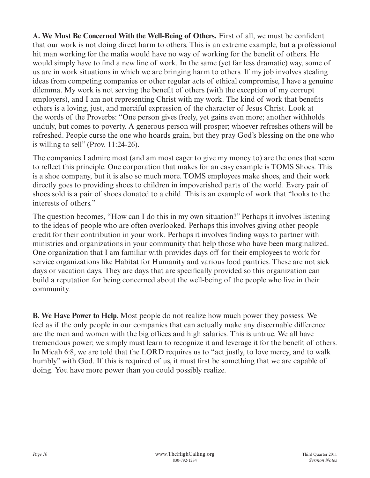**A. We Must Be Concerned With the Well-Being of Others.** First of all, we must be confident that our work is not doing direct harm to others. This is an extreme example, but a professional hit man working for the mafia would have no way of working for the benefit of others. He would simply have to find a new line of work. In the same (yet far less dramatic) way, some of us are in work situations in which we are bringing harm to others. If my job involves stealing ideas from competing companies or other regular acts of ethical compromise, I have a genuine dilemma. My work is not serving the benefit of others (with the exception of my corrupt employers), and I am not representing Christ with my work. The kind of work that benefits others is a loving, just, and merciful expression of the character of Jesus Christ. Look at the words of the Proverbs: "One person gives freely, yet gains even more; another withholds unduly, but comes to poverty. A generous person will prosper; whoever refreshes others will be refreshed. People curse the one who hoards grain, but they pray God's blessing on the one who is willing to sell" (Prov.  $11:24-26$ ).

The companies I admire most (and am most eager to give my money to) are the ones that seem to reflect this principle. One corporation that makes for an easy example is TOMS Shoes. This is a shoe company, but it is also so much more. TOMS employees make shoes, and their work directly goes to providing shoes to children in impoverished parts of the world. Every pair of shoes sold is a pair of shoes donated to a child. This is an example of work that "looks to the interests of others."

The question becomes, "How can I do this in my own situation?" Perhaps it involves listening to the ideas of people who are often overlooked. Perhaps this involves giving other people credit for their contribution in your work. Perhaps it involves finding ways to partner with ministries and organizations in your community that help those who have been marginalized. One organization that I am familiar with provides days off for their employees to work for service organizations like Habitat for Humanity and various food pantries. These are not sick days or vacation days. They are days that are specifically provided so this organization can build a reputation for being concerned about the well-being of the people who live in their community.

**B. We Have Power to Help.** Most people do not realize how much power they possess. We feel as if the only people in our companies that can actually make any discernable difference are the men and women with the big offices and high salaries. This is untrue. We all have tremendous power; we simply must learn to recognize it and leverage it for the benefit of others. In Micah 6:8, we are told that the LORD requires us to "act justly, to love mercy, and to walk humbly" with God. If this is required of us, it must first be something that we are capable of doing. You have more power than you could possibly realize.